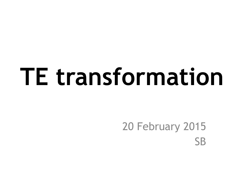# **TE transformation**

#### 20 February 2015 **SB**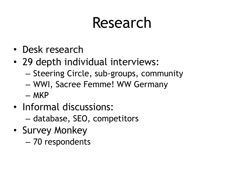#### Research

- Desk research
- 29 depth individual interviews:
	- Steering Circle, sub-groups, community
	- WWI, Sacree Femme! WW Germany
	- MKP
- Informal discussions:
	- database, SEO, competitors
- Survey Monkey
	- 70 respondents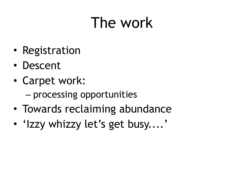#### The work

- Registration
- Descent
- Carpet work:
	- processing opportunities
- Towards reclaiming abundance
- 'Izzy whizzy let's get busy....'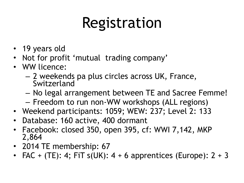## Registration

- 19 years old
- Not for profit 'mutual trading company'
- WW licence:
	- 2 weekends pa plus circles across UK, France, Switzerland
	- No legal arrangement between TE and Sacree Femme!
	- Freedom to run non-WW workshops (ALL regions)
- Weekend participants: 1059; WEW: 237; Level 2: 133
- Database: 160 active, 400 dormant
- Facebook: closed 350, open 395, cf: WWI 7,142, MKP 2,864
- 2014 TE membership: 67
- FAC + (TE): 4; FiT  $s(UK)$ : 4 + 6 apprentices (Europe): 2 + 3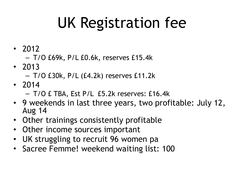## UK Registration fee

- 2012
	- T/O £69k, P/L £0.6k, reserves £15.4k
- 2013
	- T/O £30k, P/L (£4.2k) reserves £11.2k
- 2014
	- T/O £ TBA, Est P/L £5.2k reserves: £16.4k
- 9 weekends in last three years, two profitable: July 12, Aug 14
- Other trainings consistently profitable
- Other income sources important
- UK struggling to recruit 96 women pa
- Sacree Femme! weekend waiting list: 100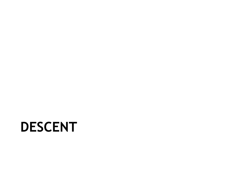#### **DESCENT**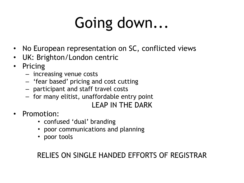## Going down...

- No European representation on SC, conflicted views
- UK: Brighton/London centric
- **Pricing** 
	- increasing venue costs
	- 'fear based' pricing and cost cutting
	- participant and staff travel costs
	- for many elitist, unaffordable entry point

#### LEAP IN THE DARK

- Promotion:
	- confused 'dual' branding
	- poor communications and planning
	- poor tools

#### RELIES ON SINGLE HANDED EFFORTS OF REGISTRAR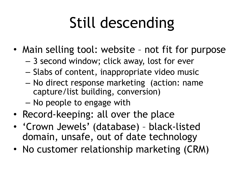## Still descending

- Main selling tool: website not fit for purpose
	- 3 second window; click away, lost for ever
	- Slabs of content, inappropriate video music
	- No direct response marketing (action: name capture/list building, conversion)
	- No people to engage with
- Record-keeping: all over the place
- 'Crown Jewels' (database) black-listed domain, unsafe, out of date technology
- No customer relationship marketing (CRM)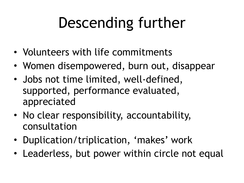## Descending further

- Volunteers with life commitments
- Women disempowered, burn out, disappear
- Jobs not time limited, well-defined, supported, performance evaluated, appreciated
- No clear responsibility, accountability, consultation
- Duplication/triplication, 'makes' work
- Leaderless, but power within circle not equal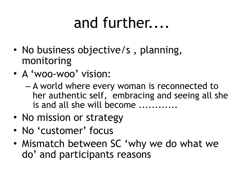#### and further....

- No business objective/s, planning, monitoring
- A 'woo-woo' vision:
	- A world where every woman is reconnected to her authentic self, embracing and seeing all she is and all she will become ............
- No mission or strategy
- No 'customer' focus
- Mismatch between SC 'why we do what we do' and participants reasons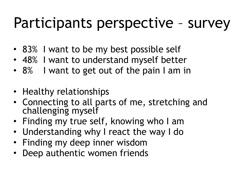#### Participants perspective – survey

- 83% I want to be my best possible self
- 48% I want to understand myself better
- 8% I want to get out of the pain I am in
- Healthy relationships
- Connecting to all parts of me, stretching and challenging myself
- Finding my true self, knowing who I am
- Understanding why I react the way I do
- Finding my deep inner wisdom
- Deep authentic women friends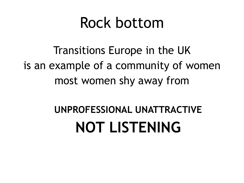#### Rock bottom

Transitions Europe in the UK is an example of a community of women most women shy away from

#### **UNPROFESSIONAL UNATTRACTIVE NOT LISTENING**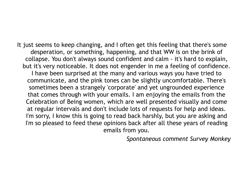It just seems to keep changing, and I often get this feeling that there's some desperation, or something, happening, and that WW is on the brink of collapse. You don't always sound confident and calm - it's hard to explain, but it's very noticeable. It does not engender in me a feeling of confidence. I have been surprised at the many and various ways you have tried to communicate, and the pink tones can be slightly uncomfortable. There's sometimes been a strangely 'corporate' and yet ungrounded experience that comes through with your emails. I am enjoying the emails from the Celebration of Being women, which are well presented visually and come at regular intervals and don't include lots of requests for help and ideas. I'm sorry, I know this is going to read back harshly, but you are asking and I'm so pleased to feed these opinions back after all these years of reading emails from you.

*Spontaneous comment Survey Monkey*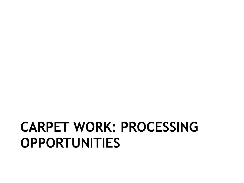#### **CARPET WORK: PROCESSING OPPORTUNITIES**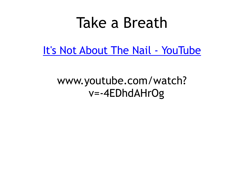#### Take a Breath

[It's Not About The Nail](http://www.youtube.com/watch?v=-4EDhdAHrOg) - YouTube

#### www.youtube.com/watch? v=-4EDhdAHrOg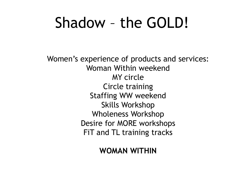#### Shadow – the GOLD!

Women's experience of products and services: Woman Within weekend MY circle Circle training Staffing WW weekend Skills Workshop Wholeness Workshop Desire for MORE workshops FiT and TL training tracks

**WOMAN WITHIN**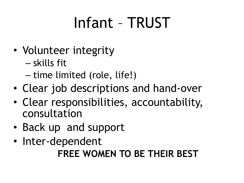## Infant – TRUST

- Volunteer integrity
	- skills fit
	- time limited (role, life!)
- Clear job descriptions and hand-over
- Clear responsibilities, accountability, consultation
- Back up and support
- Inter-dependent **FREE WOMEN TO BE THEIR BEST**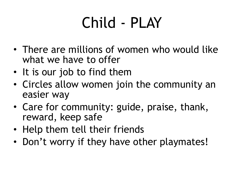## Child - PLAY

- There are millions of women who would like what we have to offer
- It is our job to find them
- Circles allow women join the community an easier way
- Care for community: guide, praise, thank, reward, keep safe
- Help them tell their friends
- Don't worry if they have other playmates!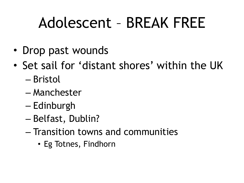#### Adolescent – BREAK FREE

- Drop past wounds
- Set sail for 'distant shores' within the UK
	- Bristol
	- Manchester
	- Edinburgh
	- Belfast, Dublin?
	- Transition towns and communities
		- Eg Totnes, Findhorn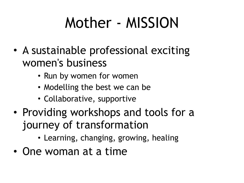### Mother - MISSION

- A sustainable professional exciting women's business
	- Run by women for women
	- Modelling the best we can be
	- Collaborative, supportive
- Providing workshops and tools for a journey of transformation
	- Learning, changing, growing, healing
- One woman at a time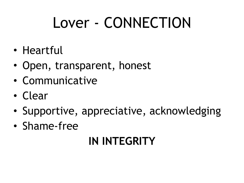### Lover - CONNECTION

- Heartful
- Open, transparent, honest
- Communicative
- Clear
- Supportive, appreciative, acknowledging
- Shame-free

#### **IN INTEGRITY**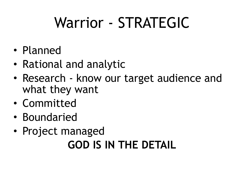## Warrior - STRATEGIC

- Planned
- Rational and analytic
- Research know our target audience and what they want
- Committed
- Boundaried
- Project managed **GOD IS IN THE DETAIL**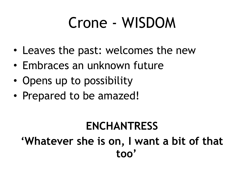#### Crone - WISDOM

- Leaves the past: welcomes the new
- Embraces an unknown future
- Opens up to possibility
- Prepared to be amazed!

#### **ENCHANTRESS 'Whatever she is on, I want a bit of that too'**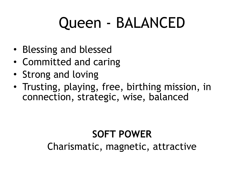#### Queen - BALANCED

- Blessing and blessed
- Committed and caring
- Strong and loving
- Trusting, playing, free, birthing mission, in connection, strategic, wise, balanced

#### **SOFT POWER**

Charismatic, magnetic, attractive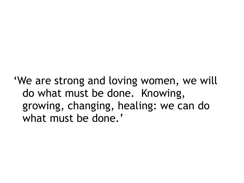'We are strong and loving women, we will do what must be done. Knowing, growing, changing, healing: we can do what must be done.'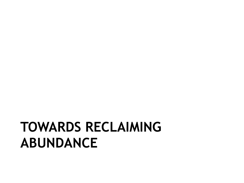#### **TOWARDS RECLAIMING ABUNDANCE**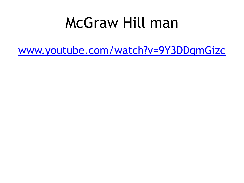#### McGraw Hill man

[www.youtube.com/watch?v=9Y3DDqmGizc](http://www.youtube.com/watch?v=9Y3DDqmGizc)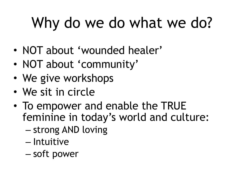## Why do we do what we do?

- NOT about 'wounded healer'
- NOT about 'community'
- We give workshops
- We sit in circle
- To empower and enable the TRUE feminine in today's world and culture:
	- strong AND loving
	- Intuitive
	- soft power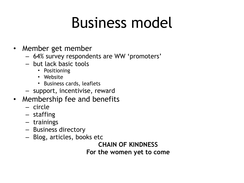#### Business model

- Member get member
	- 64% survey respondents are WW 'promoters'
	- but lack basic tools
		- Positioning
		- Website
		- Business cards, leaflets
	- support, incentivise, reward
- Membership fee and benefits
	- circle
	- staffing
	- trainings
	- Business directory
	- Blog, articles, books etc

**CHAIN OF KINDNESS For the women yet to come**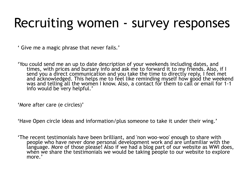#### Recruiting women - survey responses

' Give me a magic phrase that never fails.'

'You could send me an up to date description of your weekends including dates, and<br>times, with prices and bursary info and ask me to forward it to my friends. Also, if I send you a direct communication and you take the time to directly reply, I feel met and acknowledged. This helps me to feel like reminding myself how good the weekend was and telling all the women I know. Also, a contact for them to call or email for 1-1 info would be very helpful.'

'More after care (e circles)'

'Have Open circle ideas and information/plus someone to take it under their wing.'

'The recent testimonials have been brilliant, and 'non woo-woo' enough to share with people who have never done personal development work and are unfamiliar with the language. More of those please! Also if we had a blog part of our website as WWI does, when we share the testimonials we would be taking people to our website to explore more.'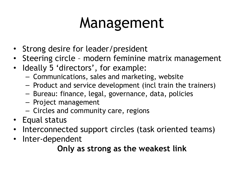#### Management

- Strong desire for leader/president
- Steering circle modern feminine matrix management
- Ideally 5 'directors', for example:
	- Communications, sales and marketing, website
	- Product and service development (incl train the trainers)
	- Bureau: finance, legal, governance, data, policies
	- Project management
	- Circles and community care, regions
- Equal status
- Interconnected support circles (task oriented teams)
- Inter-dependent

#### **Only as strong as the weakest link**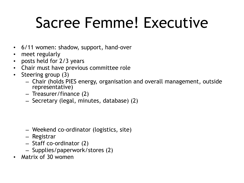#### Sacree Femme! Executive

- 6/11 women: shadow, support, hand-over
- meet regularly
- posts held for 2/3 years
- Chair must have previous committee role
- Steering group (3)
	- Chair (holds PIES energy, organisation and overall management, outside representative)
	- Treasurer/finance (2)
	- Secretary (legal, minutes, database) (2)

- Weekend co-ordinator (logistics, site)
- Registrar
- Staff co-ordinator (2)
- Supplies/paperwork/stores (2)
- Matrix of 30 women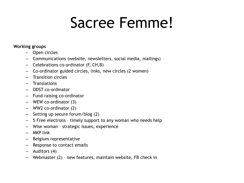#### Sacree Femme!

#### **Working groups**

- Open circles
- Communications (website, newsletters, social media, mailings)
- Celebrations co-ordinator (F, CH,B)
- Co-ordinator guided circles, links, new circles (2 women)
- Transition circles
- Translations
- ODST co-ordinator
- Fund-raising co-ordinator
- WEW co-ordinator (3)
- WW2 co-ordinator (2)
- Setting up secure forum/blog (2)
- 5 Free electrons timely support to any woman who needs help
- Wise woman strategic issues, experience
- MKP link
- Belgium representative
- Response to contact emails
- Auditors (4)
- Webmaster (2) new features, maintain website, FB check in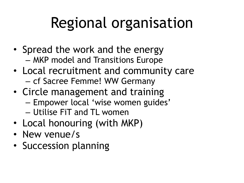## Regional organisation

- Spread the work and the energy – MKP model and Transitions Europe
- Local recruitment and community care – cf Sacree Femme! WW Germany
- Circle management and training
	- Empower local 'wise women guides'
	- Utilise FiT and TL women
- Local honouring (with MKP)
- New venue/s
- Succession planning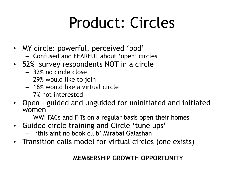#### Product: Circles

- MY circle: powerful, perceived 'pod'
	- Confused and FEARFUL about 'open' circles
- 52% survey respondents NOT in a circle
	- 32% no circle close
	- 29% would like to join
	- 18% would like a virtual circle
	- 7% not interested
- Open guided and unguided for uninitiated and initiated women
	- WWI FACs and FITs on a regular basis open their homes
- Guided circle training and Circle 'tune ups'
	- 'this aint no book club' Mirabai Galashan
- Transition calls model for virtual circles (one exists)

#### **MEMBERSHIP GROWTH OPPORTUNITY**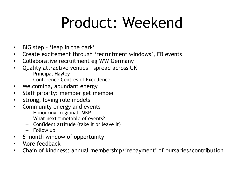#### Product: Weekend

- BIG step 'leap in the dark'
- Create excitement through 'recruitment windows', FB events
- Collaborative recruitment eg WW Germany
- Quality attractive venues spread across UK
	- Principal Hayley
	- Conference Centres of Excellence
- Welcoming, abundant energy
- Staff priority: member get member
- Strong, loving role models
- Community energy and events
	- Honouring: regional, MKP
	- What next timetable of events?
	- Confident attitude (take it or leave it)
	- Follow up
- 6 month window of opportunity
- More feedback
- Chain of kindness: annual membership/'repayment' of bursaries/contribution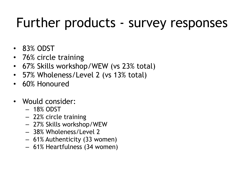#### Further products - survey responses

- 83% ODST
- 76% circle training
- 67% Skills workshop/WEW (vs 23% total)
- 57% Wholeness/Level 2 (vs 13% total)
- 60% Honoured
- Would consider:
	- 18% ODST
	- 22% circle training
	- 27% Skills workshop/WEW
	- 38% Wholeness/Level 2
	- 61% Authenticity (33 women)
	- 61% Heartfulness (34 women)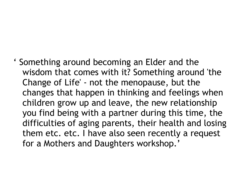' Something around becoming an Elder and the wisdom that comes with it? Something around 'the Change of Life' - not the menopause, but the changes that happen in thinking and feelings when children grow up and leave, the new relationship you find being with a partner during this time, the difficulties of aging parents, their health and losing them etc. etc. I have also seen recently a request for a Mothers and Daughters workshop.'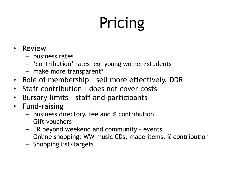## Pricing

- Review
	- business rates
	- 'contribution' rates eg young women/students
	- make more transparent?
- Role of membership sell more effectively, DDR
- Staff contribution does not cover costs
- Bursary limits staff and participants
- Fund-raising
	- Business directory, fee and % contribution
	- Gift vouchers
	- FR beyond weekend and community events
	- Online shopping: WW music CDs, made items, % contribution
	- Shopping list/targets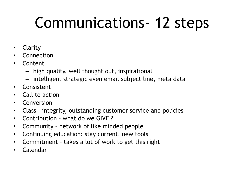### Communications- 12 steps

- **Clarity**
- **Connection**
- Content
	- high quality, well thought out, inspirational
	- intelligent strategic even email subject line, meta data
- Consistent
- Call to action
- **Conversion**
- Class integrity, outstanding customer service and policies
- Contribution what do we GIVE ?
- Community network of like minded people
- Continuing education: stay current, new tools
- Commitment takes a lot of work to get this right
- Calendar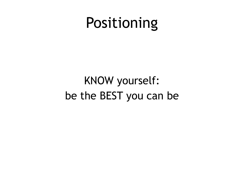#### Positioning

#### KNOW yourself: be the BEST you can be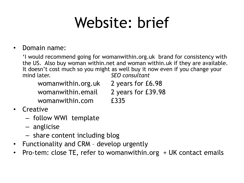#### Website: brief

#### • Domain name:

'I would recommend going for womanwithin.org.uk brand for consistency with the US. Also buy woman within.net and woman within.uk if they are available. It doesn't cost much so you might as well buy it now even if you change your mind later. *SEO consultant*

womanwithin.org.uk 2 years for £6.98 womanwithin.email 2 years for £39.98

- -
- womanwithin.com £335
- Creative
	- follow WWI template
	- anglicise
	- share content including blog
- Functionality and CRM develop urgently
- Pro-tem: close TE, refer to womanwithin.org + UK contact emails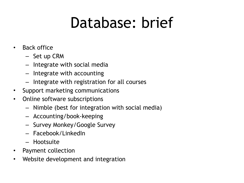#### Database: brief

- Back office
	- Set up CRM
	- Integrate with social media
	- Integrate with accounting
	- Integrate with registration for all courses
- Support marketing communications
- Online software subscriptions
	- Nimble (best for integration with social media)
	- Accounting/book-keeping
	- Survey Monkey/Google Survey
	- Facebook/LinkedIn
	- Hootsuite
- Payment collection
- Website development and integration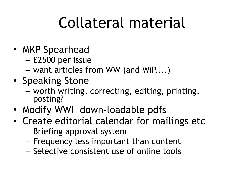### Collateral material

- MKP Spearhead
	- £2500 per issue
	- want articles from WW (and WiP....)
- Speaking Stone
	- worth writing, correcting, editing, printing, posting?
- Modify WWI down-loadable pdfs
- Create editorial calendar for mailings etc
	- Briefing approval system
	- Frequency less important than content
	- Selective consistent use of online tools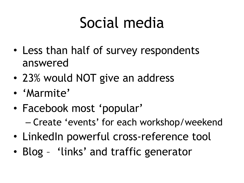### Social media

- Less than half of survey respondents answered
- 23% would NOT give an address
- 'Marmite'
- Facebook most 'popular' – Create 'events' for each workshop/weekend
- LinkedIn powerful cross-reference tool
- Blog 'links' and traffic generator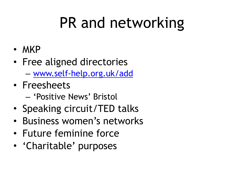## PR and networking

- MKP
- Free aligned directories
	- [www.self-help.org.uk/add](http://www.self-help.org.uk/add)
- Freesheets
	- 'Positive News' Bristol
- Speaking circuit/TED talks
- Business women's networks
- Future feminine force
- 'Charitable' purposes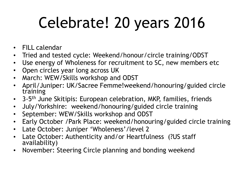## Celebrate! 20 years 2016

- FILL calendar
- Tried and tested cycle: Weekend/honour/circle training/ODST
- Use energy of Wholeness for recruitment to SC, new members etc
- Open circles year long across UK
- March: WEW/Skills workshop and ODST
- April/Juniper: UK/Sacree Femme!weekend/honouring/guided circle training
- 3-5<sup>th</sup> June Skitipis: European celebration, MKP, families, friends
- July/Yorkshire: weekend/honouring/guided circle training
- September: WEW/Skills workshop and ODST
- Early October /Park Place: weekend/honouring/guided circle training
- Late October: Juniper 'Wholeness'/level 2
- Late October: Authenticity and/or Heartfulness (?US staff availability)
- November: Steering Circle planning and bonding weekend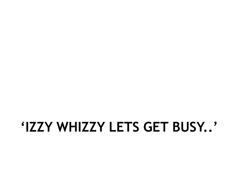#### **'IZZY WHIZZY LETS GET BUSY..'**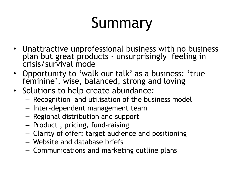## Summary

- Unattractive unprofessional business with no business plan but great products - unsurprisingly feeling in crisis/survival mode
- Opportunity to 'walk our talk' as a business: 'true feminine', wise, balanced, strong and loving
- Solutions to help create abundance:
	- Recognition and utilisation of the business model
	- Inter-dependent management team
	- Regional distribution and support
	- Product , pricing, fund-raising
	- Clarity of offer: target audience and positioning
	- Website and database briefs
	- Communications and marketing outline plans